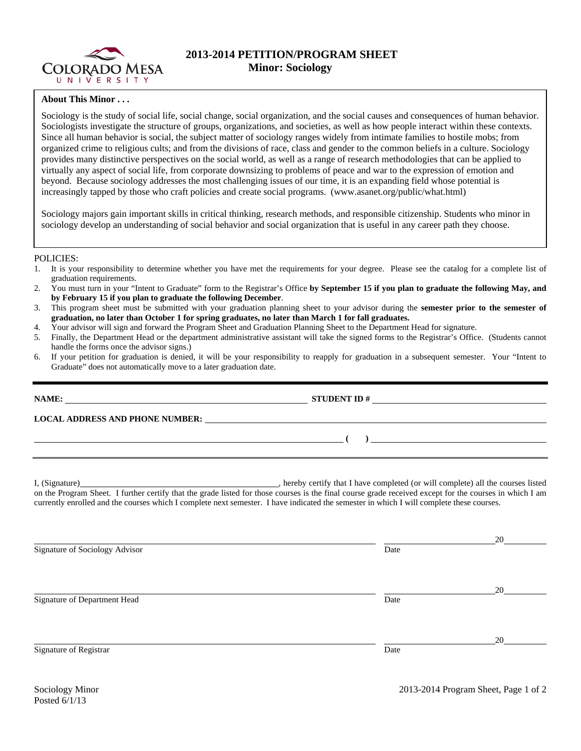

## **2013-2014 PETITION/PROGRAM SHEET Minor: Sociology**

## **About This Minor . . .**

Sociology is the study of social life, social change, social organization, and the social causes and consequences of human behavior. Sociologists investigate the structure of groups, organizations, and societies, as well as how people interact within these contexts. Since all human behavior is social, the subject matter of sociology ranges widely from intimate families to hostile mobs; from organized crime to religious cults; and from the divisions of race, class and gender to the common beliefs in a culture. Sociology provides many distinctive perspectives on the social world, as well as a range of research methodologies that can be applied to virtually any aspect of social life, from corporate downsizing to problems of peace and war to the expression of emotion and beyond. Because sociology addresses the most challenging issues of our time, it is an expanding field whose potential is increasingly tapped by those who craft policies and create social programs. (www.asanet.org/public/what.html)

Sociology majors gain important skills in critical thinking, research methods, and responsible citizenship. Students who minor in sociology develop an understanding of social behavior and social organization that is useful in any career path they choose.

## POLICIES:

- 1. It is your responsibility to determine whether you have met the requirements for your degree. Please see the catalog for a complete list of graduation requirements.
- 2. You must turn in your "Intent to Graduate" form to the Registrar's Office **by September 15 if you plan to graduate the following May, and by February 15 if you plan to graduate the following December**.
- 3. This program sheet must be submitted with your graduation planning sheet to your advisor during the **semester prior to the semester of graduation, no later than October 1 for spring graduates, no later than March 1 for fall graduates.**
- 4. Your advisor will sign and forward the Program Sheet and Graduation Planning Sheet to the Department Head for signature.
- 5. Finally, the Department Head or the department administrative assistant will take the signed forms to the Registrar's Office. (Students cannot handle the forms once the advisor signs.)
- 6. If your petition for graduation is denied, it will be your responsibility to reapply for graduation in a subsequent semester. Your "Intent to Graduate" does not automatically move to a later graduation date.

|                                | STUDENT ID # $\_$                                                                                                                                                                                                                                                                                   |    |
|--------------------------------|-----------------------------------------------------------------------------------------------------------------------------------------------------------------------------------------------------------------------------------------------------------------------------------------------------|----|
|                                | LOCAL ADDRESS AND PHONE NUMBER: Under the contract of the contract of the contract of the contract of the contract of the contract of the contract of the contract of the contract of the contract of the contract of the cont                                                                      |    |
|                                | $\overline{a}$ (c) and the contract of $\overline{a}$ (c) and the contract of $\overline{a}$ (c) and the contract of $\overline{a}$                                                                                                                                                                 |    |
|                                | on the Program Sheet. I further certify that the grade listed for those courses is the final course grade received except for the courses in which I am<br>currently enrolled and the courses which I complete next semester. I have indicated the semester in which I will complete these courses. |    |
| Signature of Sociology Advisor | Date                                                                                                                                                                                                                                                                                                | 20 |

Signature of Department Head Date of Department Head

Signature of Registrar Date Date of Registrar Date Date of Registrar Date Date of Registrar Date of Registrar Date of Registrar  $\sim$  Date of Registrar  $\sim$  Date of Registrar  $\sim$  Date of Registrar  $\sim$  Date of Registrar  $\$ 

<u>20</u>

Sociology Minor 2013-2014 Program Sheet, Page 1 of 2

<u>20</u>

Posted 6/1/13